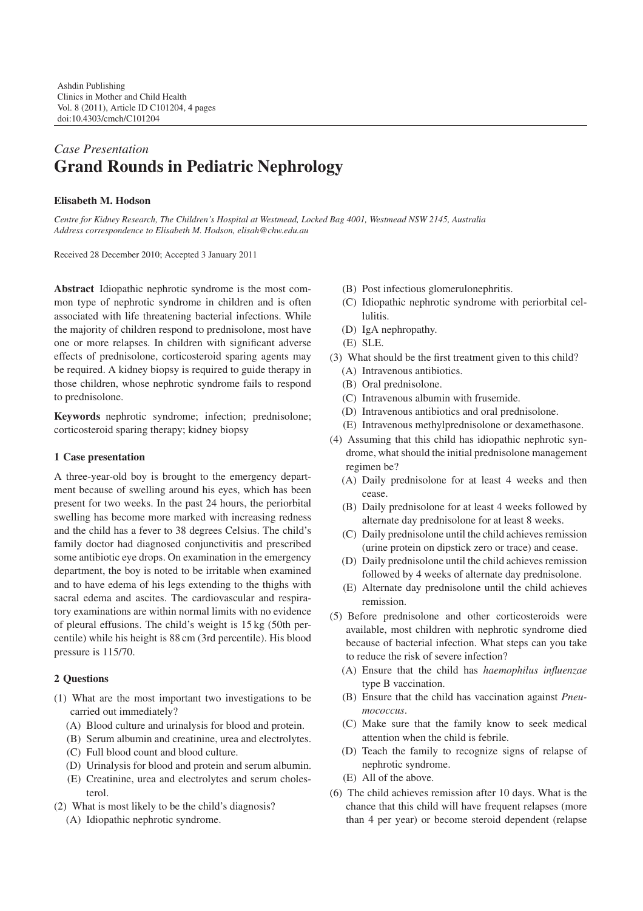# *Case Presentation* **Grand Rounds in Pediatric Nephrology**

# **Elisabeth M. Hodson**

*Centre for Kidney Research, The Children's Hospital at Westmead, Locked Bag 4001, Westmead NSW 2145, Australia Address correspondence to Elisabeth M. Hodson, elisah@chw.edu.au*

Received 28 December 2010; Accepted 3 January 2011

**Abstract** Idiopathic nephrotic syndrome is the most common type of nephrotic syndrome in children and is often associated with life threatening bacterial infections. While the majority of children respond to prednisolone, most have one or more relapses. In children with significant adverse effects of prednisolone, corticosteroid sparing agents may be required. A kidney biopsy is required to guide therapy in those children, whose nephrotic syndrome fails to respond to prednisolone.

**Keywords** nephrotic syndrome; infection; prednisolone; corticosteroid sparing therapy; kidney biopsy

# **1 Case presentation**

A three-year-old boy is brought to the emergency department because of swelling around his eyes, which has been present for two weeks. In the past 24 hours, the periorbital swelling has become more marked with increasing redness and the child has a fever to 38 degrees Celsius. The child's family doctor had diagnosed conjunctivitis and prescribed some antibiotic eye drops. On examination in the emergency department, the boy is noted to be irritable when examined and to have edema of his legs extending to the thighs with sacral edema and ascites. The cardiovascular and respiratory examinations are within normal limits with no evidence of pleural effusions. The child's weight is 15 kg (50th percentile) while his height is 88 cm (3rd percentile). His blood pressure is 115/70.

# **2 Questions**

- (1) What are the most important two investigations to be carried out immediately?
	- (A) Blood culture and urinalysis for blood and protein.
	- (B) Serum albumin and creatinine, urea and electrolytes.
	- (C) Full blood count and blood culture.
	- (D) Urinalysis for blood and protein and serum albumin.
	- (E) Creatinine, urea and electrolytes and serum cholesterol.
- (2) What is most likely to be the child's diagnosis?
	- (A) Idiopathic nephrotic syndrome.
- (B) Post infectious glomerulonephritis.
- (C) Idiopathic nephrotic syndrome with periorbital cellulitis.
- (D) IgA nephropathy.
- (E) SLE.
- (3) What should be the first treatment given to this child?
	- (A) Intravenous antibiotics.
	- (B) Oral prednisolone.
	- (C) Intravenous albumin with frusemide.
	- (D) Intravenous antibiotics and oral prednisolone.
	- (E) Intravenous methylprednisolone or dexamethasone.
- (4) Assuming that this child has idiopathic nephrotic syndrome, what should the initial prednisolone management regimen be?
	- (A) Daily prednisolone for at least 4 weeks and then cease.
	- (B) Daily prednisolone for at least 4 weeks followed by alternate day prednisolone for at least 8 weeks.
	- (C) Daily prednisolone until the child achieves remission (urine protein on dipstick zero or trace) and cease.
	- (D) Daily prednisolone until the child achieves remission followed by 4 weeks of alternate day prednisolone.
	- (E) Alternate day prednisolone until the child achieves remission.
- (5) Before prednisolone and other corticosteroids were available, most children with nephrotic syndrome died because of bacterial infection. What steps can you take to reduce the risk of severe infection?
	- (A) Ensure that the child has *haemophilus influenzae* type B vaccination.
	- (B) Ensure that the child has vaccination against *Pneumococcus*.
	- (C) Make sure that the family know to seek medical attention when the child is febrile.
	- (D) Teach the family to recognize signs of relapse of nephrotic syndrome.
	- (E) All of the above.
- (6) The child achieves remission after 10 days. What is the chance that this child will have frequent relapses (more than 4 per year) or become steroid dependent (relapse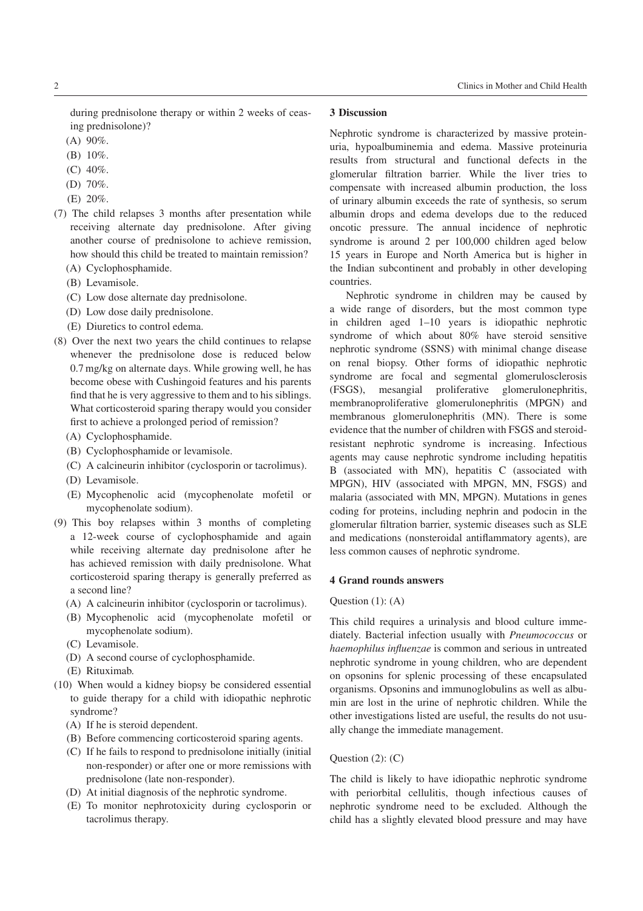during prednisolone therapy or within 2 weeks of ceasing prednisolone)?

- (A) 90%.
- (B) 10%.
- (C) 40%.
- (D) 70%.
- (E) 20%.
- (7) The child relapses 3 months after presentation while receiving alternate day prednisolone. After giving another course of prednisolone to achieve remission, how should this child be treated to maintain remission?
	- (A) Cyclophosphamide.
	- (B) Levamisole.
	- (C) Low dose alternate day prednisolone.
	- (D) Low dose daily prednisolone.
	- (E) Diuretics to control edema.
- (8) Over the next two years the child continues to relapse whenever the prednisolone dose is reduced below 0.7 mg/kg on alternate days. While growing well, he has become obese with Cushingoid features and his parents find that he is very aggressive to them and to his siblings. What corticosteroid sparing therapy would you consider first to achieve a prolonged period of remission?
	- (A) Cyclophosphamide.
	- (B) Cyclophosphamide or levamisole.
	- (C) A calcineurin inhibitor (cyclosporin or tacrolimus).
	- (D) Levamisole.
	- (E) Mycophenolic acid (mycophenolate mofetil or mycophenolate sodium).
- (9) This boy relapses within 3 months of completing a 12-week course of cyclophosphamide and again while receiving alternate day prednisolone after he has achieved remission with daily prednisolone. What corticosteroid sparing therapy is generally preferred as a second line?
	- (A) A calcineurin inhibitor (cyclosporin or tacrolimus).
	- (B) Mycophenolic acid (mycophenolate mofetil or mycophenolate sodium).
	- (C) Levamisole.
	- (D) A second course of cyclophosphamide.
	- (E) Rituximab.
- (10) When would a kidney biopsy be considered essential to guide therapy for a child with idiopathic nephrotic syndrome?
	- (A) If he is steroid dependent.
	- (B) Before commencing corticosteroid sparing agents.
	- (C) If he fails to respond to prednisolone initially (initial non-responder) or after one or more remissions with prednisolone (late non-responder).
	- (D) At initial diagnosis of the nephrotic syndrome.
	- (E) To monitor nephrotoxicity during cyclosporin or tacrolimus therapy.

## **3 Discussion**

Nephrotic syndrome is characterized by massive proteinuria, hypoalbuminemia and edema. Massive proteinuria results from structural and functional defects in the glomerular filtration barrier. While the liver tries to compensate with increased albumin production, the loss of urinary albumin exceeds the rate of synthesis, so serum albumin drops and edema develops due to the reduced oncotic pressure. The annual incidence of nephrotic syndrome is around 2 per 100,000 children aged below 15 years in Europe and North America but is higher in the Indian subcontinent and probably in other developing countries.

Nephrotic syndrome in children may be caused by a wide range of disorders, but the most common type in children aged 1–10 years is idiopathic nephrotic syndrome of which about 80% have steroid sensitive nephrotic syndrome (SSNS) with minimal change disease on renal biopsy. Other forms of idiopathic nephrotic syndrome are focal and segmental glomerulosclerosis (FSGS), mesangial proliferative glomerulonephritis, membranoproliferative glomerulonephritis (MPGN) and membranous glomerulonephritis (MN). There is some evidence that the number of children with FSGS and steroidresistant nephrotic syndrome is increasing. Infectious agents may cause nephrotic syndrome including hepatitis B (associated with MN), hepatitis C (associated with MPGN), HIV (associated with MPGN, MN, FSGS) and malaria (associated with MN, MPGN). Mutations in genes coding for proteins, including nephrin and podocin in the glomerular filtration barrier, systemic diseases such as SLE and medications (nonsteroidal antiflammatory agents), are less common causes of nephrotic syndrome.

#### **4 Grand rounds answers**

### Ouestion  $(1)$ :  $(A)$

This child requires a urinalysis and blood culture immediately. Bacterial infection usually with *Pneumococcus* or *haemophilus influenzae* is common and serious in untreated nephrotic syndrome in young children, who are dependent on opsonins for splenic processing of these encapsulated organisms. Opsonins and immunoglobulins as well as albumin are lost in the urine of nephrotic children. While the other investigations listed are useful, the results do not usually change the immediate management.

#### Question  $(2)$ :  $(C)$

The child is likely to have idiopathic nephrotic syndrome with periorbital cellulitis, though infectious causes of nephrotic syndrome need to be excluded. Although the child has a slightly elevated blood pressure and may have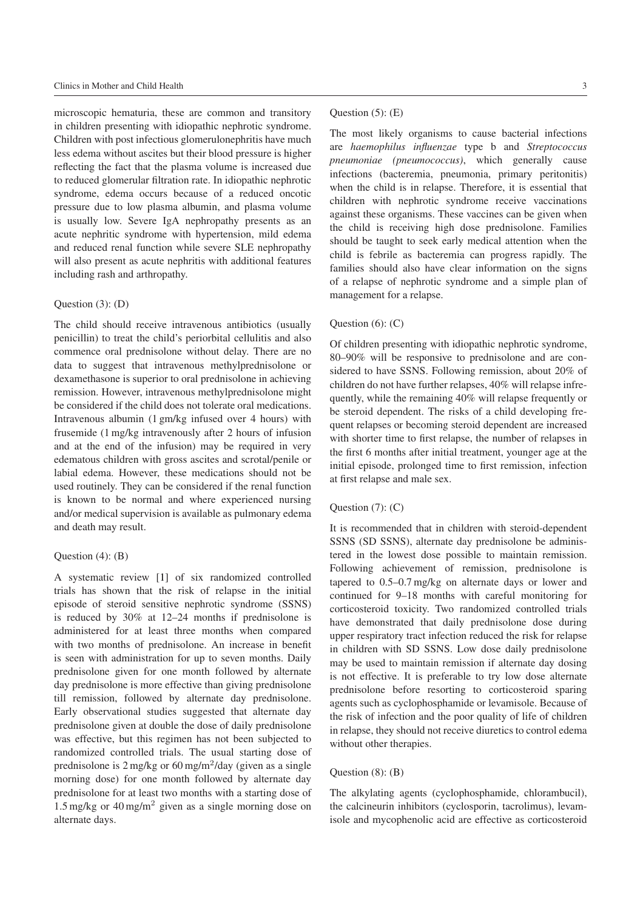microscopic hematuria, these are common and transitory in children presenting with idiopathic nephrotic syndrome. Children with post infectious glomerulonephritis have much less edema without ascites but their blood pressure is higher reflecting the fact that the plasma volume is increased due to reduced glomerular filtration rate. In idiopathic nephrotic syndrome, edema occurs because of a reduced oncotic pressure due to low plasma albumin, and plasma volume is usually low. Severe IgA nephropathy presents as an acute nephritic syndrome with hypertension, mild edema and reduced renal function while severe SLE nephropathy will also present as acute nephritis with additional features including rash and arthropathy.

# Question  $(3)$ :  $(D)$

The child should receive intravenous antibiotics (usually penicillin) to treat the child's periorbital cellulitis and also commence oral prednisolone without delay. There are no data to suggest that intravenous methylprednisolone or dexamethasone is superior to oral prednisolone in achieving remission. However, intravenous methylprednisolone might be considered if the child does not tolerate oral medications. Intravenous albumin (1 gm/kg infused over 4 hours) with frusemide (1 mg/kg intravenously after 2 hours of infusion and at the end of the infusion) may be required in very edematous children with gross ascites and scrotal/penile or labial edema. However, these medications should not be used routinely. They can be considered if the renal function is known to be normal and where experienced nursing and/or medical supervision is available as pulmonary edema and death may result.

## Question  $(4)$ :  $(B)$

A systematic review [\[1\]](#page-3-1) of six randomized controlled trials has shown that the risk of relapse in the initial episode of steroid sensitive nephrotic syndrome (SSNS) is reduced by 30% at 12–24 months if prednisolone is administered for at least three months when compared with two months of prednisolone. An increase in benefit is seen with administration for up to seven months. Daily prednisolone given for one month followed by alternate day prednisolone is more effective than giving prednisolone till remission, followed by alternate day prednisolone. Early observational studies suggested that alternate day prednisolone given at double the dose of daily prednisolone was effective, but this regimen has not been subjected to randomized controlled trials. The usual starting dose of prednisolone is  $2 \text{ mg/kg}$  or 60 mg/m<sup>2</sup>/day (given as a single morning dose) for one month followed by alternate day prednisolone for at least two months with a starting dose of 1.5 mg/kg or 40 mg/m<sup>2</sup> given as a single morning dose on alternate days.

## Question (5): (E)

The most likely organisms to cause bacterial infections are *haemophilus influenzae* type b and *Streptococcus pneumoniae (pneumococcus)*, which generally cause infections (bacteremia, pneumonia, primary peritonitis) when the child is in relapse. Therefore, it is essential that children with nephrotic syndrome receive vaccinations against these organisms. These vaccines can be given when the child is receiving high dose prednisolone. Families should be taught to seek early medical attention when the child is febrile as bacteremia can progress rapidly. The families should also have clear information on the signs of a relapse of nephrotic syndrome and a simple plan of management for a relapse.

#### Question (6): (C)

Of children presenting with idiopathic nephrotic syndrome, 80–90% will be responsive to prednisolone and are considered to have SSNS. Following remission, about 20% of children do not have further relapses, 40% will relapse infrequently, while the remaining 40% will relapse frequently or be steroid dependent. The risks of a child developing frequent relapses or becoming steroid dependent are increased with shorter time to first relapse, the number of relapses in the first 6 months after initial treatment, younger age at the initial episode, prolonged time to first remission, infection at first relapse and male sex.

#### Question  $(7)$ :  $(C)$

It is recommended that in children with steroid-dependent SSNS (SD SSNS), alternate day prednisolone be administered in the lowest dose possible to maintain remission. Following achievement of remission, prednisolone is tapered to 0.5–0.7 mg/kg on alternate days or lower and continued for 9–18 months with careful monitoring for corticosteroid toxicity. Two randomized controlled trials have demonstrated that daily prednisolone dose during upper respiratory tract infection reduced the risk for relapse in children with SD SSNS. Low dose daily prednisolone may be used to maintain remission if alternate day dosing is not effective. It is preferable to try low dose alternate prednisolone before resorting to corticosteroid sparing agents such as cyclophosphamide or levamisole. Because of the risk of infection and the poor quality of life of children in relapse, they should not receive diuretics to control edema without other therapies.

#### Question (8): (B)

The alkylating agents (cyclophosphamide, chlorambucil), the calcineurin inhibitors (cyclosporin, tacrolimus), levamisole and mycophenolic acid are effective as corticosteroid